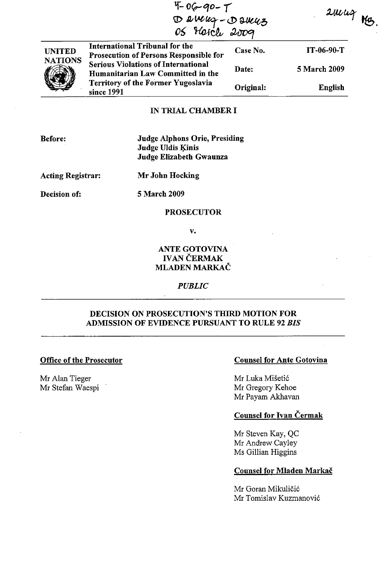| $4-06-90-7$<br>Damuz-Damuz |                                                                                        |           | $\mathcal{Z}$ urioz |  |
|----------------------------|----------------------------------------------------------------------------------------|-----------|---------------------|--|
| <b>UNITED</b>              | <b>International Tribunal for the</b><br><b>Prosecution of Persons Responsible for</b> | Case No.  | IT-06-90-T          |  |
| <b>NATIONS</b>             | <b>Serious Violations of International</b><br>Humanitarian Law Committed in the        | Date:     | 5 March 2009        |  |
|                            | <b>Territory of the Former Yugoslavia</b><br>since 1991                                | Original: | <b>English</b>      |  |

## IN TRIAL CHAMBER I

Before:

Judge Alphons Orie, Presiding Judge Uldis Kinis Judge Elizabeth Gwaunza

Acting Registrar:

Mr John Hocking

Decision of:

5 March 2009

#### PROSECUTOR

v.

# ANTE GOTOVINA **IVAN ČERMAK** MLADEN MARKAČ

*PUBLIC*

# DECISION ON PROSECUTION'S THIRD MOTION FOR ADMISSION OF EVIDENCE PURSUANT TO RULE 92 *BIS*

#### Office of the Prosecutor

Mr Alan Tieger Mr Stefan Waespi

# Counsel for Ante Gotovina

Mr Luka Misetic Mr Gregory Kehoe Mr Payam Akhavan

## Counsel for Ivan Cermak

Mr Steven Kay, QC Mr Andrew Cayley Ms Gillian Higgins

## Counsel for Mladen Markač

Mr Goran Mikuličić Mr Tomislav Kuzmanovic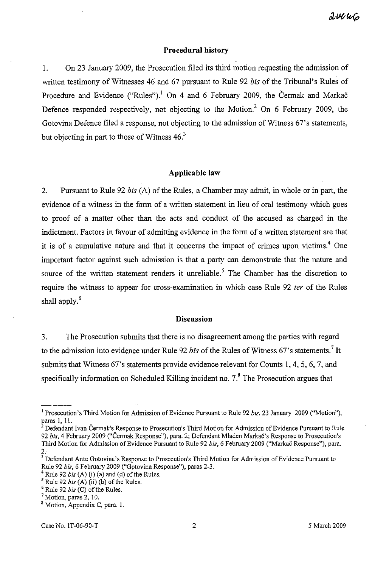# **Procedural history**

I. On 23 January 2009, the Prosecution filed its third motion requesting the admission of written testimony of Witnesses 46 and 67 pursuant to Rule 92 *bis* of the Tribunal's Rules of Procedure and Evidence ("Rules").<sup>1</sup> On 4 and 6 February 2009, the Čermak and Markač Defence responded respectively, not objecting to the Motion.<sup>2</sup> On 6 February 2009, the Gotovina Defence filed a response, not objecting to the admission of Witness 67's statements, but objecting in part to those of Witness  $46<sup>3</sup>$ 

## **Applicable law**

2. Pursuant to Rule 92 *bis* (A) of the Rules, a Chamber may admit, in whole or in part, the evidence of a witness in the form of a written statement in lieu of oral testimony which goes to proof of a matter other than the acts and conduct of the accused as charged in the indictment. Factors in favour of admitting evidence in the form of a written statement are that it is of a cumulative nature and that it concerns the impact of crimes upon victims.<sup>4</sup> One important factor against such admission is that a party can demonstrate that the nature and source of the written statement renders it unreliable.<sup>5</sup> The Chamber has the discretion to require the witness to appear for cross-examination in which case Rule 92 ter of the Rules shall apply.<sup>6</sup>

### **Discussion**

3. The Prosecution submits that there is no disagreement among the parties with regard to the admission into evidence under Rule 92 *bis* of the Rules of Witness 67's statements.<sup>7</sup> It submits that Witness 67's statements provide evidence relevant for Counts 1,4,5,6,7, and specifically information on Scheduled Killing incident no.  $7<sup>8</sup>$  The Prosecution argues that

<sup>&</sup>lt;sup>1</sup> Prosecution's Third Motion for Admission of Evidence Pursuant to Rule 92 *bis*, 23 January 2009 ("Motion"), paras I, II.

 $^2$  Defendant Ivan Čermak's Response to Prosecution's Third Motion for Admission of Evidence Pursuant to Rule *92 his,* 4 February 2009 ("Cermak Response"), para. 2; Defendant Mladen Markac's Response to Prosecution's Third Motion for Admission of Evidence Pursuant to Rule 92 *bis*, 6 February 2009 ("Markač Response"), para. 2.

 $3$  Defendant Ante Gotovina's Response to Prosecution's Third Motion for Admission of Evidence Pursuant to Rule 92 *his,* 6 February 2009 ("Gotovina Response"), paras 2-3.

 $4$  Rule 92 *bis* (A) (i) (a) and (d) of the Rules.

 $<sup>5</sup>$  Rule 92 *bis* (A) (ii) (b) of the Rules.</sup>

<sup>&</sup>lt;sup>6</sup> Rule 92 *his* (C) of the Rules.

<sup>7</sup> Motion, paras 2, 10.

<sup>8</sup> Motion, Appendix C, para. I.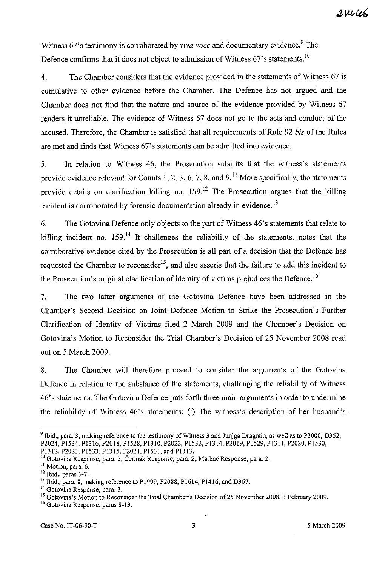Witness 67's testimony is corroborated by *viva voce* and documentary evidence.<sup>9</sup> The Defence confirms that it does not object to admission of Witness 67's statements.<sup>10</sup>

4. The Chamber considers that the evidence provided in the statements of Witness 67 is cumulative to other evidence before the Chamber. The Defence has not argued and the Chamber does not find that the nature and source of the evidence provided by Witness 67 renders it unreliable. The evidence of Witness 67 does not go to the acts and conduct of the accused. Therefore, the Chamber is satisfied that all requirements of Rule 92 *bis* of the Rules are met and finds that Witness 67's statements can be admitted into evidence.

5. In relation to Witness 46, the Prosecution submits that the witness's statements provide evidence relevant for Counts 1, 2, 3, 6, 7, 8, and  $9<sup>11</sup>$  More specifically, the statements provide details on clarification killing no.  $159$ <sup>12</sup> The Prosecution argues that the killing incident is corroborated by forensic documentation already in evidence.<sup>13</sup>

6. The Gotovina Defence only objects to the part of Witness 46's statements that relate to killing incident no.  $159<sup>14</sup>$  It challenges the reliability of the statements, notes that the corroborative evidence cited by the Prosecution is all part of a decision that the Defence has requested the Chamber to reconsider<sup>15</sup>, and also asserts that the failure to add this incident to the Prosecution's original clarification of identity of victims prejudices the Defence.<sup>16</sup>

7. The two latter arguments of the Gotovina Defence have been addressed in the Chamber's Second Decision on Joint Defence Motion to Strike the Prosecution's Further Clarification of Identity of Victims filed 2 March 2009 and the Chamber's Decision on Gotovina's Motion to Reconsider the Trial Chamber's Decision of 25 November 2008 read out on 5 March 2009.

8. The Chamber will therefore proceed to consider the arguments of the Gotovina Defence in relation to the substance of the statements, challenging the reliability of Witness 46's statements. The Gotovina Defence puts forth three main arguments in order to undermine the reliability of Witness 46's statements: (i) The witness's description of her husband's

<sup>&</sup>lt;sup>9</sup> Ibid., para. 3, making reference to the testimony of Witness 3 and Juniga Dragutin, as well as to P2000, D352, P2024,PI534,P1316,P2018,PI528,PI310,P2022,PI532,PI314,P2019,PI529,PI311,P2020,PI530, P1312, P2023, P1533, P1315, P2021, P1531, and P1313.

<sup>&</sup>lt;sup>10</sup> Gotovina Response, para. 2; Čermak Response, para. 2; Markač Response, para. 2.

<sup>&</sup>lt;sup>11</sup> Motion, para. 6.

<sup>12</sup> Ibid., paras 6-7.

<sup>&</sup>lt;sup>13</sup> Ibid., para. 8, making reference to P1999, P2088, P1614, P1416, and D367.

<sup>&</sup>lt;sup>14</sup> Gotovina Response, para. 3.

<sup>&</sup>lt;sup>15</sup> Gotovina's Motion to Reconsider the Trial Chamber's Decision of 25 November 2008, 3 February 2009.

<sup>16</sup> Gotovina Response, paras 8-13.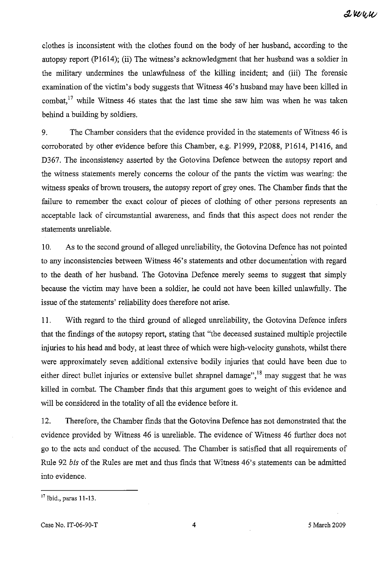clothes is inconsistent with the clothes found on the body of her husband, according to the autopsy report (PI614); (ii) The witness's acknowledgment that her husband was a soldier in the military undermines the unlawfulness of the killing incident; and (iii) The forensic examination of the victim's body suggests that Witness 46's husband may have been killed in combat,<sup>17</sup> while Witness 46 states that the last time she saw him was when he was taken behind a building by soldiers.

9. The Chamber considers that the evidence provided in the statements of Witness 46 is corroborated by other evidence before this Chamber, e.g. P1999, P2088, P1614, P1416, and D367. The inconsistency asserted by the Gotovina Defence between the autopsy report and the witness statements merely concerns the colour of the pants the victim was wearing: the witness speaks of brown trousers, the autopsy report of grey ones. The Chamber finds that the failure to remember the exact colour of pieces of clothing of other persons represents an acceptable lack of circumstantial awareness, and finds that this aspect does not render the statements unreliable.

10. As to the second ground of alleged unreliability, the Gotovina Defence has not pointed to any inconsistencies between Witness 46's statements and other documentation with regard to the death of her husband. The Gotovina Defence merely seems to suggest that simply because the victim may have been a soldier, he could not have been killed unlawfully. The issue of the statements' reliability does therefore not arise.

II. With regard to the third ground of alleged unreliability, the Gotovina Defence infers that the findings of the autopsy report, stating that "the deceased sustained multiple projectile injuries to his head and body, at least three of which were high-velocity gunshots, whilst there were approximately seven additional extensive bodily injuries that could have been due to either direct bullet injuries or extensive bullet shrapnel damage",  $^{18}$  may suggest that he was killed in combat. The Chamber finds that this argument goes to weight of this evidence and will be considered in the totality of all the evidence before it.

12. Therefore, the Chamber finds that the Gotovina Defence has not demonstrated that the evidence provided by Witness 46 is unreliable. The evidence of Witness 46 further does not go to the acts and conduct of the accused. The Chamber is satisfied that all requirements of Rule 92 *bis* of the Rules are met and thus finds that Witness 46's statements can be admitted into evidence.

<sup>17</sup> Ibid., paras 11-13.